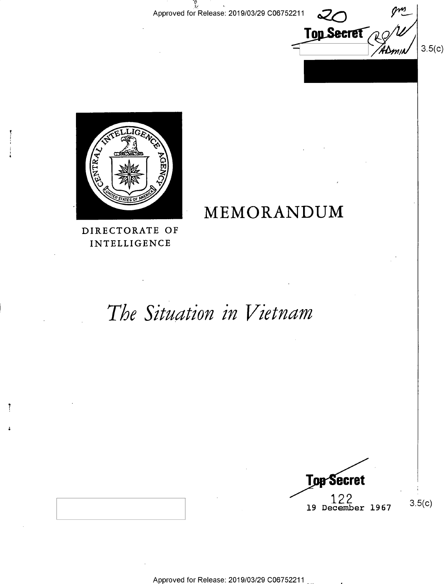**Top Secret** 

 $3.5(c)$ 



MEMORANDUM

DIRECTORATE OF INTELLIGENCE

-7

# The Situation in Vietnam

**Top Secret** 122 3.5(c)<br>19 December 1967

Approved for Release: 2019/03/29 C0675221\_1 M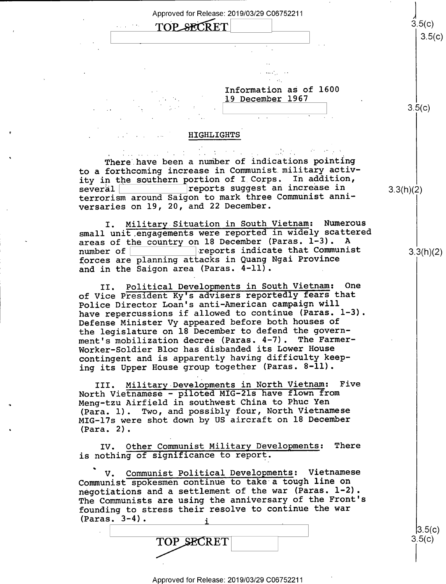

#### Information as of 1600 19 December 1967

## $\begin{array}{ccc} \ & \ & \ & \ \ \end{array}$   $\begin{array}{ccc} \ & \ & \ \ \end{array}$   $\begin{array}{ccc} \ & \ & \ \ \end{array}$   $\begin{array}{ccc} \ & \ & \ \ \end{array}$

 $3.5(c)$ 

#### <sup>I</sup>HIGHLIGHTS'

 $\label{eq:2.1} \frac{1}{2}\sum_{i=1}^n\frac{1}{2}\sum_{i=1}^n\frac{1}{2}\sum_{i=1}^n\frac{1}{2}\sum_{i=1}^n\frac{1}{2}\sum_{i=1}^n\frac{1}{2}\sum_{i=1}^n\frac{1}{2}\sum_{i=1}^n\frac{1}{2}\sum_{i=1}^n\frac{1}{2}\sum_{i=1}^n\frac{1}{2}\sum_{i=1}^n\frac{1}{2}\sum_{i=1}^n\frac{1}{2}\sum_{i=1}^n\frac{1}{2}\sum_{i=1}^n\frac{1}{2}\sum_{i=1}^n\$ There have been a number of indications pointing to a forthcoming increase in Communist.military activity in the southern portion of I Corps. In addition,<br>several several K:::::::::::1reports suggest an increase in 3;xhX2) terrorism around Saigon to mark three Communist anniversaries on 19, 20, and 22 December.

I. Military Situation in South Vietnam: Numerous small unit engagements were reported in widely scattered areas of the country on 18 December (Paras.  $1-3$ ).<br>number of reports indicate that Communist forces are planning attacks in Quang Ngai Province and in the Saigon area (Paras. 4-11).

II. Political Developments in South Vietnam: One of Vice President Ky's advisers reportedly fears that Police Director Loan's anti—American campaign will have repercussions if allowed to continue (Paras. 1-3). Defense Minister Vy appeared before both houses of the legislature on 18 December to defend the government's mobilization decree (Paras. 4-7). The Farmer-Worker-Soldier Bloc has disbanded its Lower House contingent and is apparently having difficulty keeping its Upper House group together (Paras. 8-ll).

III. Military-Developments in North Vietnam: Five North Vietnamese - piloted MIG-21s have flown from Meng-tzu Airfield in southwest China to Phuc Yen (Para. 1). Two, and possibly four, North Vietnamese MIG—l7s were shot down by US aircraft on 18 December (Para. 2).

IV. Other Communist Military Developments: There is nothing of significance to report.

V. Communist Political Developments: Vietnamese Communist spokesmen continue to take a tough line on negotiations and a settlement of the war (Paras. 1-2). The Communists are using the anniversary of the Front's founding to stress their resolve to continue the war  $(Paras. 3-4).$ 

TOP SECRET

3.3(h)(2)

 $|3.5(c)|$  $3.5(c)$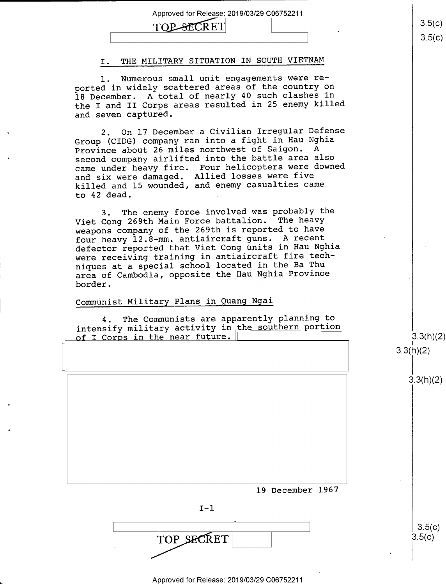### TOP-SECRET

#### I. THE MILITARY SITUATION IN SOUTH VIETNAM

1. Numerous small unit engagements were reported in widely scattered areas of the country on 18 December. A total of nearly 40 such clashes in the I and II Corps areas resulted in 25 enemy killed and seven captured.

2. On 17 December a Civilian Irregular Defense Group (CIDG) company ran into a fight in Hau Nghia<br>Province about 26 miles northwest of Saigon. A Province about 26 miles northwest of Saigon. second company airlifted into the battle area also came under heavy fire. Four helicopters were downed and six were damaged. Allied losses were five killed and 15 wounded, and enemy casualties came to 42 dead. .

3. The enemy force involved was probably the Viet Cong 269th Main Force battalion. The heavy weapons company of the 269th is reported to have four heavy 12.8-mm. antiaircraft guns. A recent defector reported that Viet Cong units in Hau Nghia were receiving training in antiaircraft fire techniques at a special school located in the Ba Thu area of Cambodia, opposite the Hau Nghia Province border.

#### Communist Military Plans in Quang Ngai

4. The Communists are apparently planning to intensify military activity in the southern portion of I Corps in the near future.

 $3.3(h)(2)$  $3.3(h)(2)$ 

 $3.3(h)(2)$ 

19 December 1967

 $I-1$ 

'  $3.5(c)$  $\overline{\phantom{a}}$  . And the set of the set of the set of the set of the set of the set of the set of the set of the set of the set of the set of the set of the set of the set of the set of the set of the set of the set of the s TOP SECRET  $3.5(c)$ 

Approved for Release: 2019/03/29 C06752211

<u>၁.၁(</u>C)  $3.5(c)$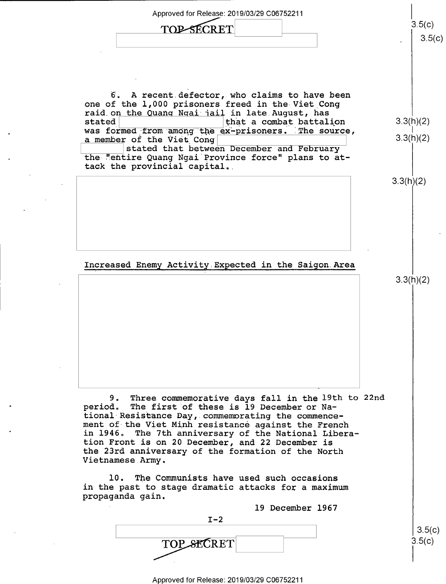Approved for Release: 2019/03/29 C06752211  $\begin{array}{ccc}\n\text{TOP-SECRET} & & 3.5(c)\n\end{array}$  $3.5(c)$ 6. A recent.defector, who claims to have been one of the 1,000 prisoners freed in the Viet Cong raid on the Quang Ngai jail in late August, has<br>stated stated that a combat battalion  $3.3(h)(2)$ was formed from among the ex-prisoners. The source, a member of the Viet Cong  $\left| \right.$  3.3(h)(2)  $\left| \right.$  3.3(h)(2) the "entire Quang Ngai Province force" plans to attack the provincial capital.. 3.3(h)(2) Increased Enemy Activity Expected in the Saigon Area 3.3(h)(2) 9. Three commemorative days fall in the 19th to 22nd period. The first of these is 19 December or Na-<br>tional Resistance Day, commemorating the commencement of the Viet Minh resistance against the French in 1946. The 7th anniversary of the National Liberation Front is on 20 December, and 22 December is the 23rd anniversary of the formation of the North Vietnamese.Army. l0. The Communists have used such occasions in the past to stage dramatic attacks for a maximum propaganda gain. 19 December 1967  $I-2$  $3.5(c)$  $3.5(c)$ TOP SECRET

\_ Approved for Release: 2019/03/29 C06752211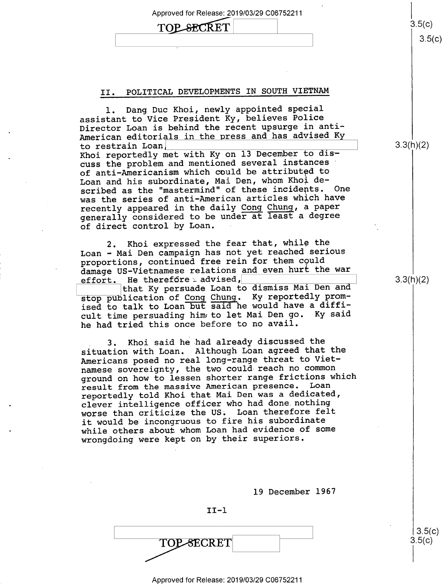# $\text{TOP-SECRET}$   $3.5(c)$

#### II. POLITICAL DEVELOPMENTS IN SOUTH VIETNAM

l. Dang Duc Khoi, newly appointed special assistant to Vice President Ky, believes Police Director Loan is behind the recent upsurge in anti-American editorials in the press and has advised Ky to restrain Loan]

Khoi reportedly met with Ky on 13 December to discuss the problem and mentioned several instances of anti-Americanism which could be attributed to Loan and his subordinate, Mai Den, whom Khoi described as the "mastermind" of these incidents. On was the series of anti-American articles which have recently appeared in the daily Cong Chung, a paper generally considered to be under at least a degree of direct control by Loan.

Khoi expressed the fear that, while the Loan — Mai Den campaign has not yet reached serious proportions, continued free rein for them could damage US-Vietnamese relations and even hurt the war<br>effort. He therefore advised, He therefore  $\Delta$  advised,

that Ky persuade Loan to dismiss Mai Den and stop publication of Cong Chung. Ky reportedly promised to talk to Loan but said he would have a difficult time persuading hime to let Mai Den go. Ky said he had tried this once before to no avail.

. 3. Khoi said he had already discussed the situation with Loan. Although Loan agreed that the Americans posed no real long-range threat to Vietnamese sovereignty, the two could reach no common ground on how to lessen shorter range frictions which<br>result from the massive American presence. Loan result from the massive American presence. reportedly told Khoi that Mai Den was a dedicated, clever intelligence officer who had done.nothing worse than criticize the US. Loan therefore felt it would be incongruous to fire his subordinate while others about whom Loan had evidence of some wrongdoing were kept on by their superiors.

19 December 1967

II-l

 $\begin{array}{|c|c|c|c|c|}\n \hline\n & & & & 3.5(\text{C})\n \hline\n & & & & & & 3.5(\text{C})\n \end{array}$  $\overline{Y}$   $\overline{Y}$   $\overline{Y}$   $\overline{Y}$   $\overline{Y}$   $\overline{Y}$   $\overline{Y}$   $\overline{Y}$   $\overline{Y}$   $\overline{Y}$   $\overline{Y}$   $\overline{Y}$   $\overline{Y}$   $\overline{Y}$   $\overline{Y}$   $\overline{Y}$   $\overline{Y}$   $\overline{Y}$   $\overline{Y}$   $\overline{Y}$   $\overline{Y}$   $\overline{Y}$   $\overline{Y}$   $\overline{Y}$   $\overline{$ 

 $3.3(h)(2)$ 

 $3.3(h)(2)$ 

 $3.5(c)$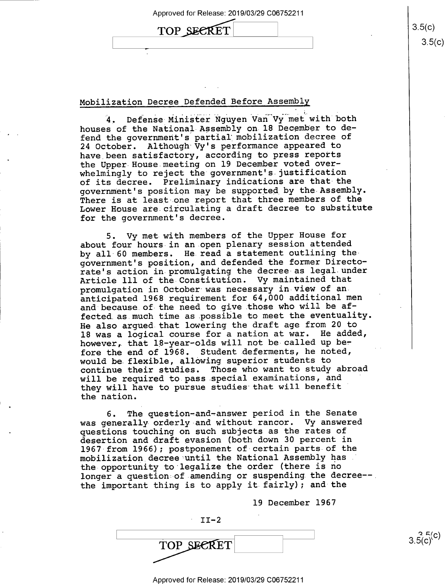# TOP SECRET  $3.5(c)$

#### Mobilization Decree Defended Before Assembly

4. Defense Minister Nguyen Van"Vy met with both houses of the National-Assembly on 18 December to defend the government's partial mobilization decree of <sup>24</sup>October. Although Vy's performance appeared to have been satisfactory, according to press reports the Upper House meeting on 19 December voted overwhelmingly to reject the government's justification of its decree. Preliminary indications are that the government's position may be supported by the Assembly. There is at least one report that three members of the Lower House are circulating a draft decree to substitute for the government's decree.

5. Vy met with members of the Upper House for about four hours in an open plenary session attended by all 60 members. He read a statement outlining thegovernment's position, and defended the former Directorate's action in promulgating the decree as legal under Article 111 of the Constitution. Vy maintained that promulgation in October was necessary in view of ananticipated 1968 requirement for 64,000 additional men and because.of the need to give.those who will be affected.as.much time as possible to meet the eventuality. He also argued that lowering the draft age from 20 to 18 was a logical course for a nation at war. He added, however, that  $18$ -year-olds will not be called up before the end of 1968. Student deferments, he noted, would be flexible, allowing superior students to continue their studies. Those who want to study abroad will be required to pass special examinations, and they will have to pursue studies that will benefit the nation.

6. The question—and-answer period in the Senate was generally orderly and without rancor. Vy answered questions touching on such subjects as the rates of desertion and draft evasion (both down 30 percent in 1967 from 1966); postponement of certain parts of the mobilization decree until the National Assembly has the opportunity to legalize the order (there is no longer a question of amending or suspending the decree- the important thing is to apply it fairly); and the

19 December 1967

TOP SECRET

 $II-2$ 

\_ Approved for Release: 2019/03/29 C06752211

 $3.5(c)$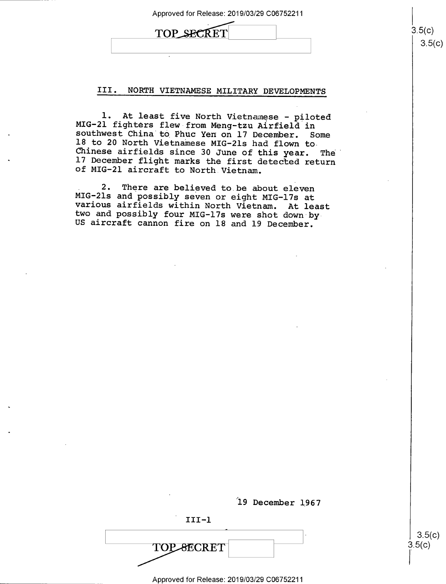| Approved for Release: 2019/03/29 C06752211 |  |
|--------------------------------------------|--|
| TOP SECRET                                 |  |
|                                            |  |

III. NORTH VIETNAMESE MILITARY DEVELOPMENTS

1. At least five North Vietnamese - piloted<br>MIG-21 fighters flew from Meng-tzu Airfield in<br>southwest China to Phuc Yen on 17 December. Some<br>18 to 20 North Vietnamese MIG-21s had flown to<br>Chinese airfields since 30 June of 17 December flight marks the first detected return of MIG-21 aircraft to North Vietnam.

2. There are believed to be about eleven<br>MIG-2ls and possibly seven or eight MIG-17s at<br>various airfields within North Vietnam. At least<br>two and possibly four MIG-17s were shot down by<br>US aircraft cannon fire on 18 and 19

19 December 1967

III-1

**TOP SECRET** 

Approved for Release: 2019/03/29 C06752211

A

 $3.5(c)$  $3.5(c)$ 

 $|3.5(c)|$ <br>3.5(c)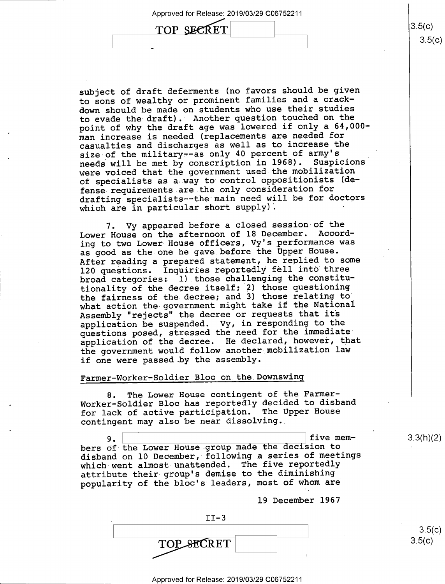subject of draft deferments (no favors should be given to sons of wealthy or prominent families and a crackdown should be-made on students who use their studies to evade the draft). Another question touched on the point of why the draft age was lowered if only a 64,000 man increase is needed (replacements are needed for casualties and discharges as well as to increase the size of the military--as only 40 percent of army's needs will be met by conscription in 1968). Suspicions were voiced that the government used the mobilization of specialists as a way to control oppositionists (defense requirements are the only consideration for drafting.specialists--the main need will be for doctors which are in particular short  $supply$ .

7. Vy appeared before a closed session of the Lower House on the afternoon of l8 December. According to two Lower House officers, Vy's performance was as good as the one he.gave before the Upper House. After reading a prepared statement, he replied to some 120 questions. Inquiries reportedly fell into three broad categories: l).those.challenging the constitutionality of the decree itself; 2) those questioning the fairness of the decree; and 3) those relating to what action the government might take if the National Assembly "rejects" the decree or requests that its application be suspended. Vy, in responding to the questions posed, stressed the need for the immediate' application of the decree. He declared, however, that the government would follow another mobilization law if one were passed by the assembly.

#### Farmer—Worker-Soldier Bloc on.the\_Downswing

8. The Lower House contingent of the Farmer-Worker—Soldier Bloc has reportedly decided to disband for lack of active participation. The Upper House contingent may also be near dissolving..

five mem- $9.$ bers of the Lower House group made the decision to disband on 10 December, following a series of meetings which went almost unattended. The five reportedly attribute their-group's demise to the diminishing popularity of the bloc's leaders, most of whom are

19 December 1967

 $II-3$ TOP SECRET

\_\_ Approved for Release: 2019/03/29 C06752211

 $3.3(h)(2)$ 

 $3.5(c)$  $3.5(c)$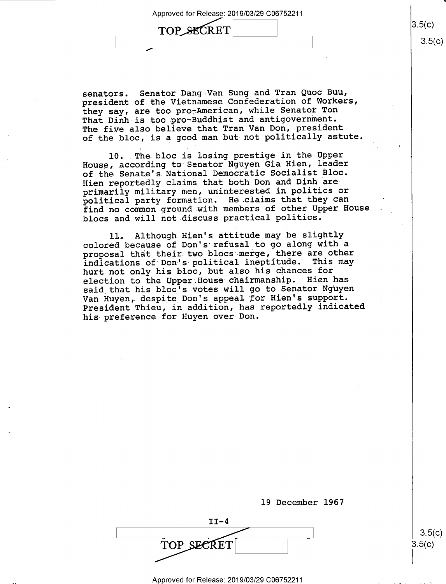, where the contract of the contract of  $\mathcal{L}$  ,  $\mathcal{L}$ 

TOP SECRET

senators. Senator Dang-Van Sung and Tran Quoc Buu, president of the Vietnamese Confederation of Workers, they say, are too pro-American, while Senator Ton That Dinh is too pro~Buddhist and antigovernment. The five also believe that Tran Van Don, president of the bloc, is a good man but not politically astute.

l0...The bloc is losing prestige in the Upper House, according to Senator Nguyen Gia Hien, leader of the Senate's National Democratic Socialist Bloc. Hien reportedly claims that both Don and Dinh areprimarily military men, uninterested in politics or political party formation. He claims that they can find no common.ground with members of other Upper House blocs and will not-discuss practical politics.

ll. -Although Hien's attitude may be slightly colored because of Don's refusal to go along with aproposal that their two blocs merge, there are other<br>indications of Don's political ineptitude. This may indications of Don's political ineptitude. hurt not only his bloc, but also his chances for election to the Upper House chairmanship. Hien has said that his bloc's votes will go to Senator Nguyen Van Huyen, despite Don's appeal for Hien's support. President Thieu, in addition, has reportedly indicated his preference for Huyen over Don.

19 December 1967  $II-4$  $\begin{array}{|c|c|}\n \hline\n \text{TOP} & \text{SEERET} & & & \text{3.5(c)} \\
\hline\n\end{array}$ 

 $3.5(c)$ 

 $3.5(c)$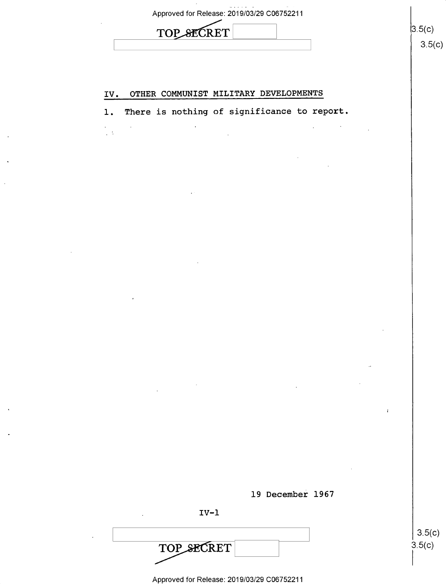# TOP SECRET

 $\mathcal{L}$ 

 $\frac{1}{2}$ 

### IV. OTHER COMMUNIST MILITARY DEVELOPMENTS

l. There is nothing of significance to report



IV-l

TOP SECRET

Approved for Release: 2019/03/29 C06752211

 $3.5(c)$  $3.5(c)$ 

 $3.5(c)$  $3.5(c)$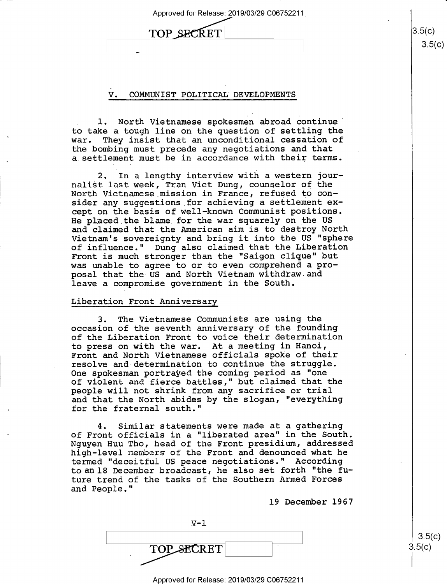| Approved for Release: 2019/03/29 C06752211 |  |
|--------------------------------------------|--|
|                                            |  |

| <b>SECRET</b><br><b>TOP</b> |  |
|-----------------------------|--|
|                             |  |

#### V. COMMUNIST POLITICAL DEVELOPMENTS

1. North Vietnamese spokesmen abroad continue to take a tough line on the question of settling the They insist that an unconditional cessation of the bombing must precede any negotiations and that a settlement must be in accordance with their terms.

2. In a lengthy interview with a western journalist last week, Tran Viet Dung, counselor of the North Vietnamese mission in France, refused to consider any suggestions for achieving a settlement except on the basis of well-known Communist positions. He placed the blame for the war squarely on the US and claimed that the American aim is to destroy North Vietnam's sovereignty and bring it into the US "sphere of influence." Dung also claimed that the Liberation Front is much stronger than the "Saigon clique" but was unable to agree to or to even comprehend a proposal that the US and North Vietnam withdraw and leave a compromise government in the South.

#### Liberation Front Anniversary

3. The Vietnamese Communists are using the occasion of the seventh anniversary of the founding of the Liberation Front to voice their determination to press on with the war. At a meeting in Hanoi, Front and North Vietnamese officials spoke of their resolve and determination to continue the struggle. One spokesman portrayed the coming period as "one of violent and fierce battles," but claimed that the people will not shrink from any sacrifice or trial and that the North abides by the slogan, "everything for the fraternal south."

4. Similar statements were made at a gathering of Front officials in a "liberated area" in the South. Nguyen Huu Tho, head of the Front presidium, addressed high-level nembers of the Front and denounced what he termed "deceitful US peace negotiations." According toan1l8 December broadcast, he also set forth "the future trend of the tasks of the Southern Armed Forces and People

19 December 1967

| TOP SECRET |  |
|------------|--|

 $3.5(c)$  $3.5(c)$ 

 $3.5(c)$ 

Approved for Release: 2019/03/29 C06752211